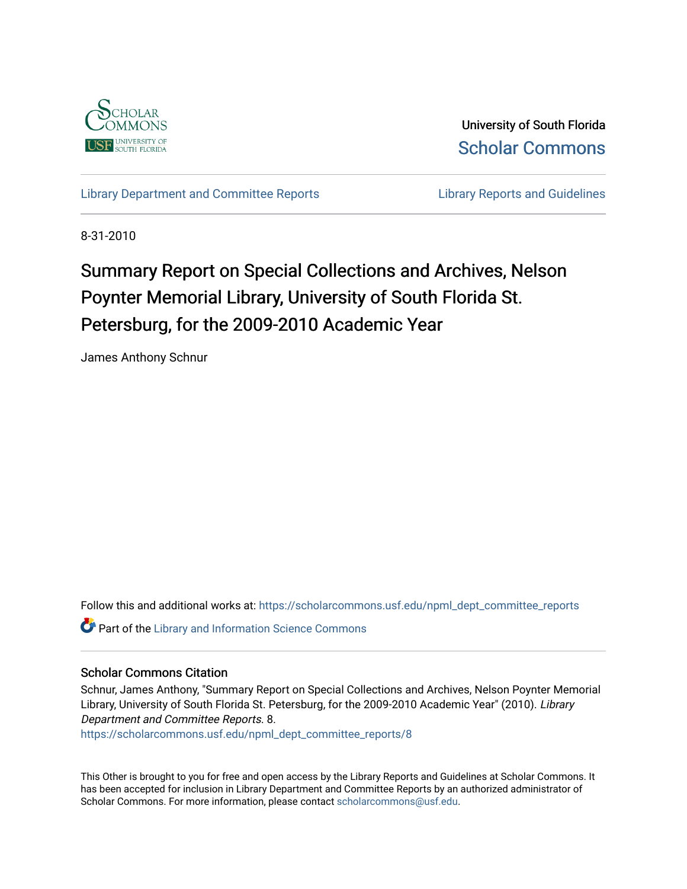

University of South Florida [Scholar Commons](https://scholarcommons.usf.edu/) 

[Library Department and Committee Reports](https://scholarcommons.usf.edu/npml_dept_committee_reports) **Library Reports and Guidelines** 

8-31-2010

# Summary Report on Special Collections and Archives, Nelson Poynter Memorial Library, University of South Florida St. Petersburg, for the 2009-2010 Academic Year

James Anthony Schnur

Follow this and additional works at: [https://scholarcommons.usf.edu/npml\\_dept\\_committee\\_reports](https://scholarcommons.usf.edu/npml_dept_committee_reports?utm_source=scholarcommons.usf.edu%2Fnpml_dept_committee_reports%2F8&utm_medium=PDF&utm_campaign=PDFCoverPages)

**Part of the Library and Information Science Commons** 

#### Scholar Commons Citation

Schnur, James Anthony, "Summary Report on Special Collections and Archives, Nelson Poynter Memorial Library, University of South Florida St. Petersburg, for the 2009-2010 Academic Year" (2010). Library Department and Committee Reports. 8.

[https://scholarcommons.usf.edu/npml\\_dept\\_committee\\_reports/8](https://scholarcommons.usf.edu/npml_dept_committee_reports/8?utm_source=scholarcommons.usf.edu%2Fnpml_dept_committee_reports%2F8&utm_medium=PDF&utm_campaign=PDFCoverPages)

This Other is brought to you for free and open access by the Library Reports and Guidelines at Scholar Commons. It has been accepted for inclusion in Library Department and Committee Reports by an authorized administrator of Scholar Commons. For more information, please contact [scholarcommons@usf.edu](mailto:scholarcommons@usf.edu).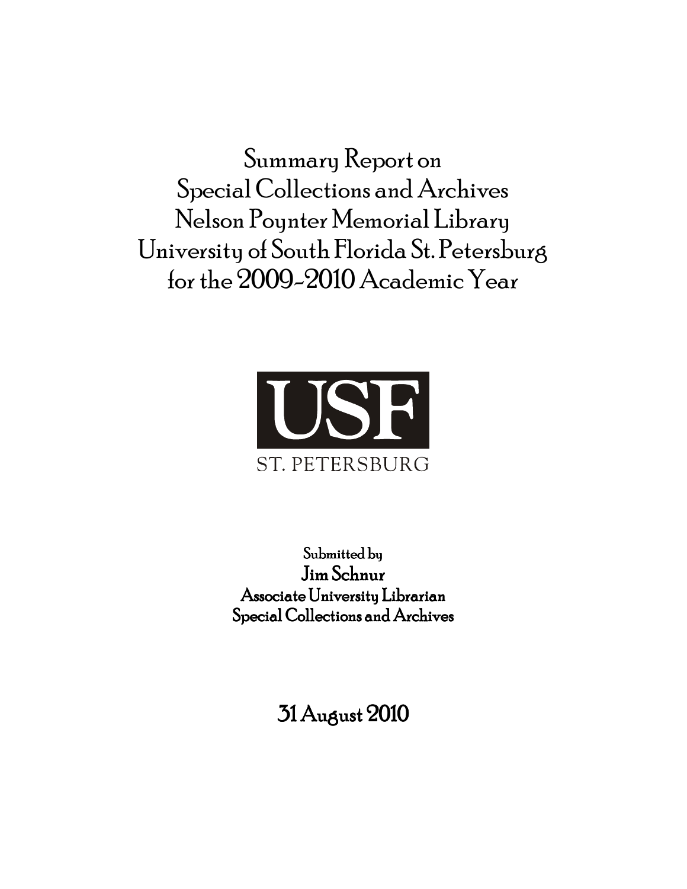Summary Report on Special Collections and Archives Nelson Poynter Memorial Library University of South Florida St. Petersburg for the 2009-2010 Academic Year



Submitted by Jim Schnur Associate University Librarian Special Collections and Archives

31 August 2010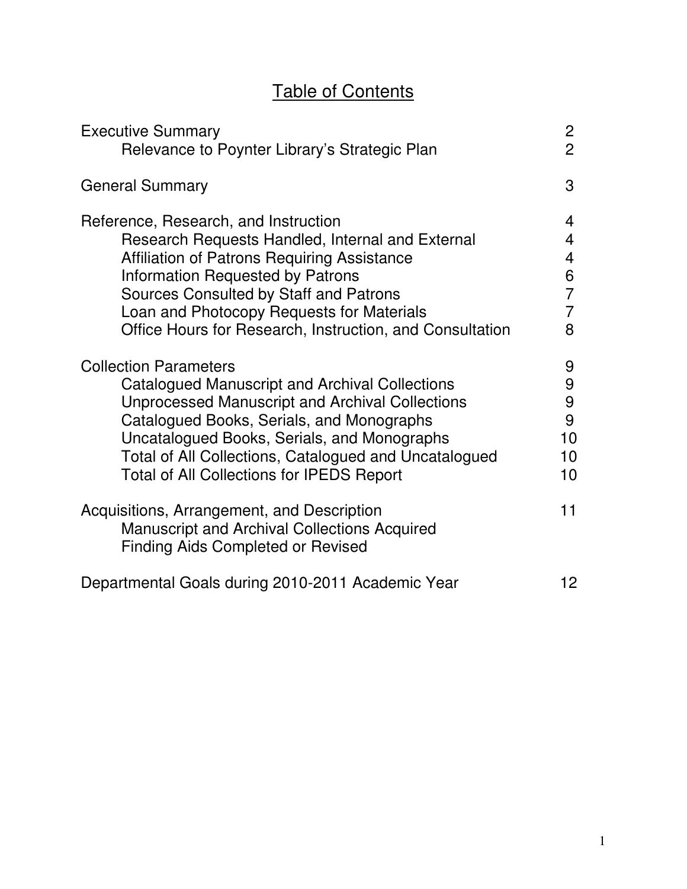# Table of Contents

| <b>Executive Summary</b>                                                                                                                      | $\overline{c}$  |
|-----------------------------------------------------------------------------------------------------------------------------------------------|-----------------|
| Relevance to Poynter Library's Strategic Plan                                                                                                 | $\overline{2}$  |
| <b>General Summary</b>                                                                                                                        | 3               |
| Reference, Research, and Instruction                                                                                                          | 4               |
| Research Requests Handled, Internal and External                                                                                              | 4               |
| <b>Affiliation of Patrons Requiring Assistance</b>                                                                                            | 4               |
| <b>Information Requested by Patrons</b>                                                                                                       | 6               |
| Sources Consulted by Staff and Patrons                                                                                                        | $\overline{7}$  |
| Loan and Photocopy Requests for Materials                                                                                                     | 7               |
| Office Hours for Research, Instruction, and Consultation                                                                                      | 8               |
| <b>Collection Parameters</b>                                                                                                                  | 9               |
| Catalogued Manuscript and Archival Collections                                                                                                | 9               |
| <b>Unprocessed Manuscript and Archival Collections</b>                                                                                        | 9               |
| Catalogued Books, Serials, and Monographs                                                                                                     | 9               |
| Uncatalogued Books, Serials, and Monographs                                                                                                   | 10              |
| Total of All Collections, Catalogued and Uncatalogued                                                                                         | 10              |
| <b>Total of All Collections for IPEDS Report</b>                                                                                              | 10 <sup>1</sup> |
| Acquisitions, Arrangement, and Description<br><b>Manuscript and Archival Collections Acquired</b><br><b>Finding Aids Completed or Revised</b> | 11              |
| Departmental Goals during 2010-2011 Academic Year                                                                                             | 12              |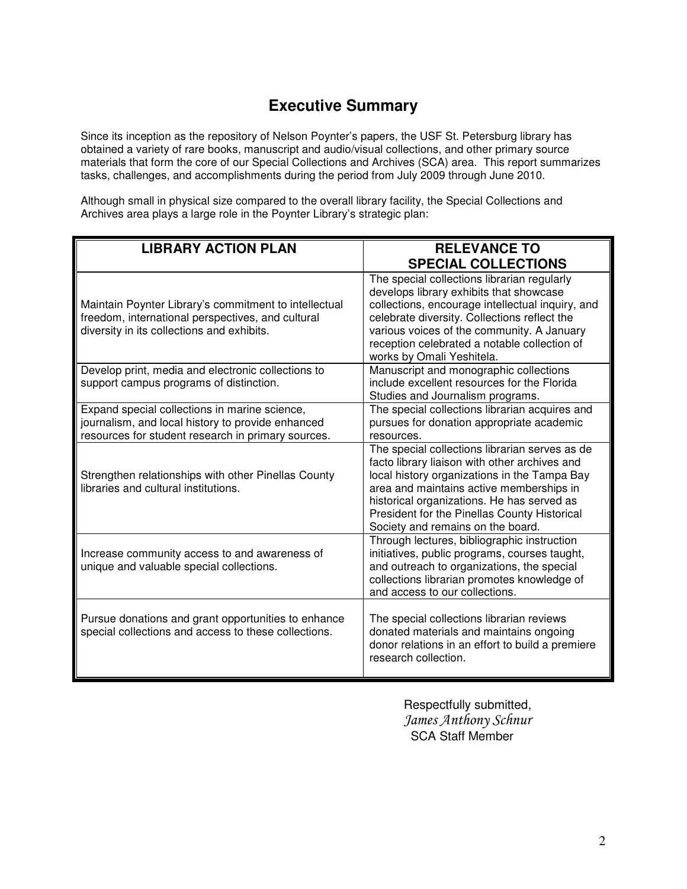## **Executive Summary**

Since its inception as the repository of Nelson Poynter's papers, the USF St. Petersburg library has obtained a variety of rare books, manuscript and audio/visual collections, and other primary source materials that form the core of our Special Collections and Archives (SCA) area. This report summarizes tasks, challenges, and accomplishments during the period from July 2009 through June 2010.

Although small in physical size compared to the overall library facility, the Special Collections and Archives area plays a large role in the Poynter Library's strategic plan:

| <b>LIBRARY ACTION PLAN</b>                                                                                                                               | <b>RELEVANCE TO</b><br><b>SPECIAL COLLECTIONS</b>                                                                                                                                                                                                                                                                              |
|----------------------------------------------------------------------------------------------------------------------------------------------------------|--------------------------------------------------------------------------------------------------------------------------------------------------------------------------------------------------------------------------------------------------------------------------------------------------------------------------------|
| Maintain Poynter Library's commitment to intellectual<br>freedom, international perspectives, and cultural<br>diversity in its collections and exhibits. | The special collections librarian regularly<br>develops library exhibits that showcase<br>collections, encourage intellectual inquiry, and<br>celebrate diversity. Collections reflect the<br>various voices of the community. A January<br>reception celebrated a notable collection of<br>works by Omali Yeshitela.          |
| Develop print, media and electronic collections to<br>support campus programs of distinction.                                                            | Manuscript and monographic collections<br>include excellent resources for the Florida<br>Studies and Journalism programs.                                                                                                                                                                                                      |
| Expand special collections in marine science,<br>journalism, and local history to provide enhanced<br>resources for student research in primary sources. | The special collections librarian acquires and<br>pursues for donation appropriate academic<br>resources.                                                                                                                                                                                                                      |
| Strengthen relationships with other Pinellas County<br>libraries and cultural institutions.                                                              | The special collections librarian serves as de<br>facto library liaison with other archives and<br>local history organizations in the Tampa Bay<br>area and maintains active memberships in<br>historical organizations. He has served as<br>President for the Pinellas County Historical<br>Society and remains on the board. |
| Increase community access to and awareness of<br>unique and valuable special collections.                                                                | Through lectures, bibliographic instruction<br>initiatives, public programs, courses taught,<br>and outreach to organizations, the special<br>collections librarian promotes knowledge of<br>and access to our collections.                                                                                                    |
| Pursue donations and grant opportunities to enhance<br>special collections and access to these collections.                                              | The special collections librarian reviews<br>donated materials and maintains ongoing<br>donor relations in an effort to build a premiere<br>research collection.                                                                                                                                                               |

 Respectfully submitted, James Anthony Schnur SCA Staff Member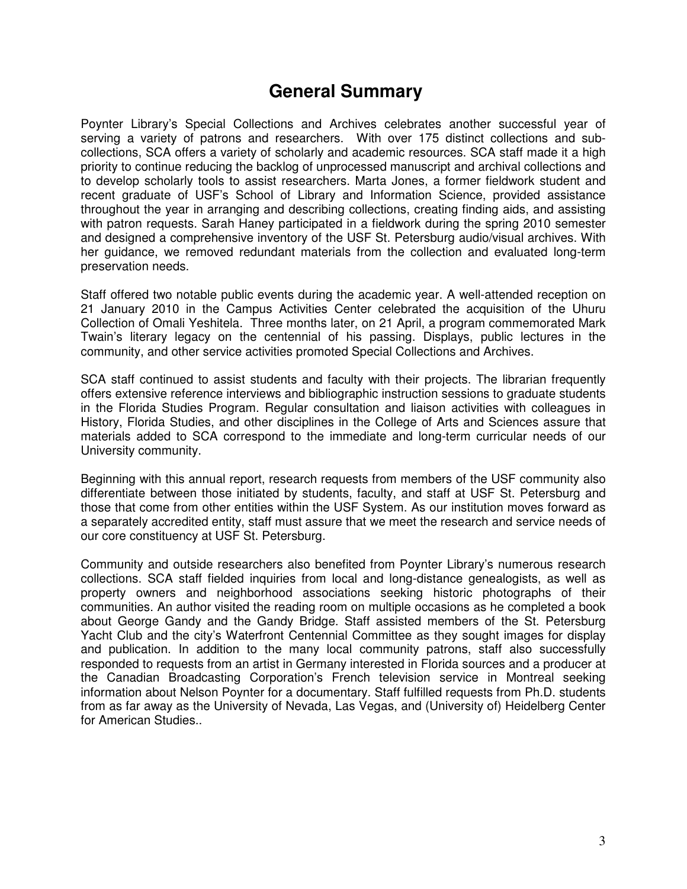## **General Summary**

Poynter Library's Special Collections and Archives celebrates another successful year of serving a variety of patrons and researchers. With over 175 distinct collections and subcollections, SCA offers a variety of scholarly and academic resources. SCA staff made it a high priority to continue reducing the backlog of unprocessed manuscript and archival collections and to develop scholarly tools to assist researchers. Marta Jones, a former fieldwork student and recent graduate of USF's School of Library and Information Science, provided assistance throughout the year in arranging and describing collections, creating finding aids, and assisting with patron requests. Sarah Haney participated in a fieldwork during the spring 2010 semester and designed a comprehensive inventory of the USF St. Petersburg audio/visual archives. With her guidance, we removed redundant materials from the collection and evaluated long-term preservation needs.

Staff offered two notable public events during the academic year. A well-attended reception on 21 January 2010 in the Campus Activities Center celebrated the acquisition of the Uhuru Collection of Omali Yeshitela. Three months later, on 21 April, a program commemorated Mark Twain's literary legacy on the centennial of his passing. Displays, public lectures in the community, and other service activities promoted Special Collections and Archives.

SCA staff continued to assist students and faculty with their projects. The librarian frequently offers extensive reference interviews and bibliographic instruction sessions to graduate students in the Florida Studies Program. Regular consultation and liaison activities with colleagues in History, Florida Studies, and other disciplines in the College of Arts and Sciences assure that materials added to SCA correspond to the immediate and long-term curricular needs of our University community.

Beginning with this annual report, research requests from members of the USF community also differentiate between those initiated by students, faculty, and staff at USF St. Petersburg and those that come from other entities within the USF System. As our institution moves forward as a separately accredited entity, staff must assure that we meet the research and service needs of our core constituency at USF St. Petersburg.

Community and outside researchers also benefited from Poynter Library's numerous research collections. SCA staff fielded inquiries from local and long-distance genealogists, as well as property owners and neighborhood associations seeking historic photographs of their communities. An author visited the reading room on multiple occasions as he completed a book about George Gandy and the Gandy Bridge. Staff assisted members of the St. Petersburg Yacht Club and the city's Waterfront Centennial Committee as they sought images for display and publication. In addition to the many local community patrons, staff also successfully responded to requests from an artist in Germany interested in Florida sources and a producer at the Canadian Broadcasting Corporation's French television service in Montreal seeking information about Nelson Poynter for a documentary. Staff fulfilled requests from Ph.D. students from as far away as the University of Nevada, Las Vegas, and (University of) Heidelberg Center for American Studies..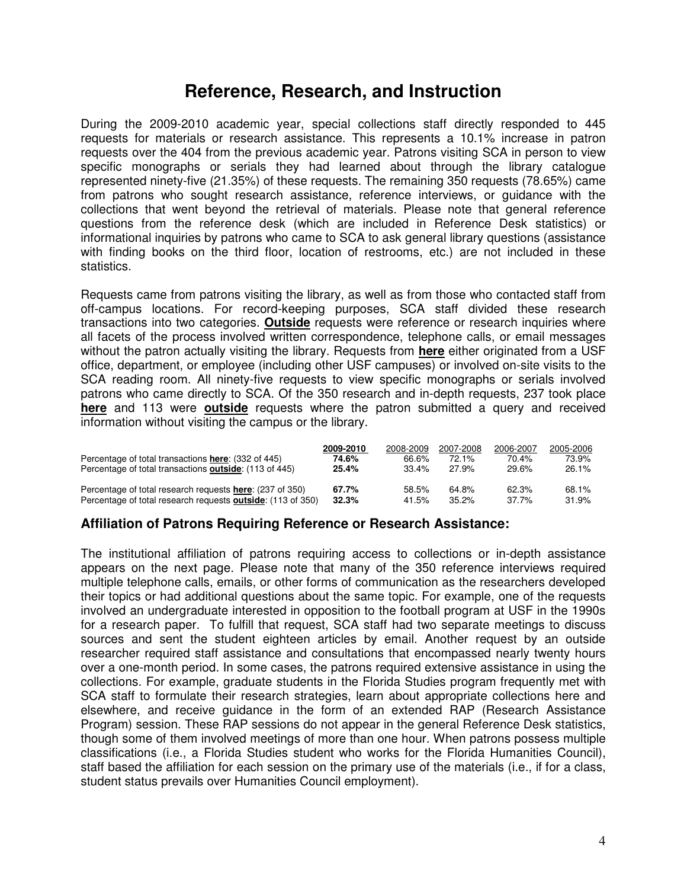## **Reference, Research, and Instruction**

During the 2009-2010 academic year, special collections staff directly responded to 445 requests for materials or research assistance. This represents a 10.1% increase in patron requests over the 404 from the previous academic year. Patrons visiting SCA in person to view specific monographs or serials they had learned about through the library catalogue represented ninety-five (21.35%) of these requests. The remaining 350 requests (78.65%) came from patrons who sought research assistance, reference interviews, or guidance with the collections that went beyond the retrieval of materials. Please note that general reference questions from the reference desk (which are included in Reference Desk statistics) or informational inquiries by patrons who came to SCA to ask general library questions (assistance with finding books on the third floor, location of restrooms, etc.) are not included in these statistics.

Requests came from patrons visiting the library, as well as from those who contacted staff from off-campus locations. For record-keeping purposes, SCA staff divided these research transactions into two categories. **Outside** requests were reference or research inquiries where all facets of the process involved written correspondence, telephone calls, or email messages without the patron actually visiting the library. Requests from **here** either originated from a USF office, department, or employee (including other USF campuses) or involved on-site visits to the SCA reading room. All ninety-five requests to view specific monographs or serials involved patrons who came directly to SCA. Of the 350 research and in-depth requests, 237 took place **here** and 113 were **outside** requests where the patron submitted a query and received information without visiting the campus or the library.

| Percentage of total transactions here: (332 of 445)<br>Percentage of total transactions <b>outside</b> : (113 of 445) | 2009-2010<br>74.6%<br>25.4% | 2008-2009<br>66.6%<br>$33.4\%$ | 2007-2008<br>72.1%<br>27.9% | 2006-2007<br>70.4%<br>29.6% | 2005-2006<br>73.9%<br>26.1% |
|-----------------------------------------------------------------------------------------------------------------------|-----------------------------|--------------------------------|-----------------------------|-----------------------------|-----------------------------|
| Percentage of total research requests here: (237 of 350)                                                              | 67.7%                       | 58.5%                          | 64.8%                       | 62.3%                       | 68.1%                       |
| Percentage of total research requests <b>outside</b> : (113 of 350)                                                   | 32.3%                       | 41.5%                          | $35.2\%$                    | $37.7\%$                    | 31.9%                       |

#### **Affiliation of Patrons Requiring Reference or Research Assistance:**

The institutional affiliation of patrons requiring access to collections or in-depth assistance appears on the next page. Please note that many of the 350 reference interviews required multiple telephone calls, emails, or other forms of communication as the researchers developed their topics or had additional questions about the same topic. For example, one of the requests involved an undergraduate interested in opposition to the football program at USF in the 1990s for a research paper. To fulfill that request, SCA staff had two separate meetings to discuss sources and sent the student eighteen articles by email. Another request by an outside researcher required staff assistance and consultations that encompassed nearly twenty hours over a one-month period. In some cases, the patrons required extensive assistance in using the collections. For example, graduate students in the Florida Studies program frequently met with SCA staff to formulate their research strategies, learn about appropriate collections here and elsewhere, and receive guidance in the form of an extended RAP (Research Assistance Program) session. These RAP sessions do not appear in the general Reference Desk statistics, though some of them involved meetings of more than one hour. When patrons possess multiple classifications (i.e., a Florida Studies student who works for the Florida Humanities Council), staff based the affiliation for each session on the primary use of the materials (i.e., if for a class, student status prevails over Humanities Council employment).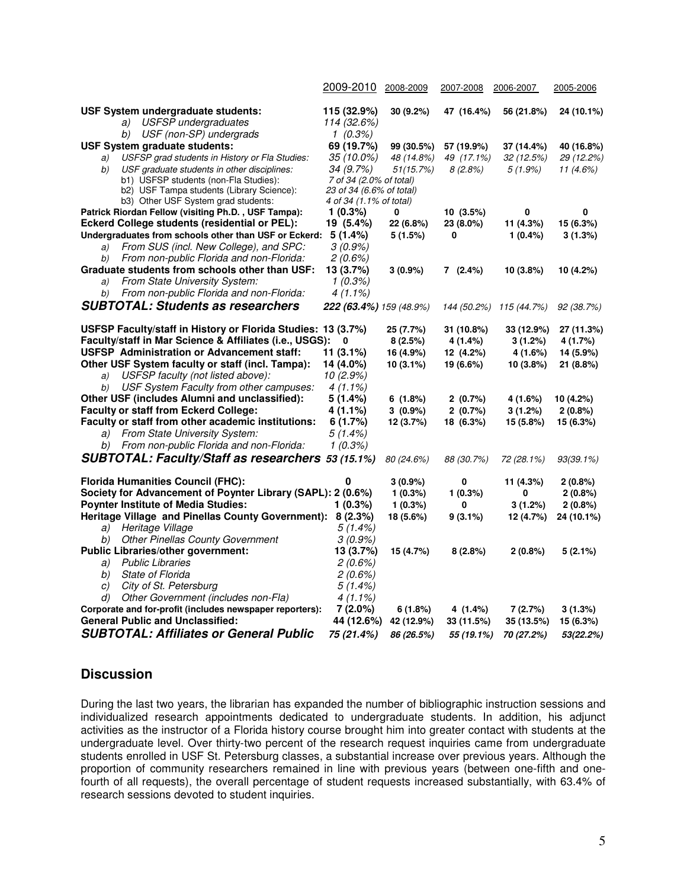|                                                                    | 2009-2010                | 2008-2009               | 2007-2008             | 2006-2007               | 2005-2006                 |
|--------------------------------------------------------------------|--------------------------|-------------------------|-----------------------|-------------------------|---------------------------|
|                                                                    |                          |                         |                       |                         |                           |
| USF System undergraduate students:                                 | 115 (32.9%)              | 30(9.2%)                | 47 (16.4%)            | 56 (21.8%)              | 24 (10.1%)                |
| <b>USFSP</b> undergraduates<br>a)                                  | 114 (32.6%)              |                         |                       |                         |                           |
| b) USF (non-SP) undergrads<br><b>USF System graduate students:</b> | $1(0.3\%)$<br>69 (19.7%) |                         |                       |                         |                           |
| USFSP grad students in History or Fla Studies:                     | 35 (10.0%)               | 99 (30.5%)              | 57 (19.9%)            | 37 (14.4%)              | 40 (16.8%)                |
| a)<br>USF graduate students in other disciplines:<br>b)            | 34 (9.7%)                | 48 (14.8%)<br>51(15.7%) | 49 (17.1%)<br>8(2.8%) | 32(12.5%)<br>$5(1.9\%)$ | 29 (12.2%)<br>11 $(4.6%)$ |
| b1) USFSP students (non-Fla Studies):                              | 7 of 34 (2.0% of total)  |                         |                       |                         |                           |
| b2) USF Tampa students (Library Science):                          | 23 of 34 (6.6% of total) |                         |                       |                         |                           |
| b3) Other USF System grad students:                                | 4 of 34 (1.1% of total)  |                         |                       |                         |                           |
| Patrick Riordan Fellow (visiting Ph.D., USF Tampa):                | 1(0.3%)                  | 0                       | 10(3.5%)              | 0                       | 0                         |
| Eckerd College students (residential or PEL):                      | 19 (5.4%)                | 22 (6.8%)               | 23 (8.0%)             | 11 (4.3%)               | 15 (6.3%)                 |
| Undergraduates from schools other than USF or Eckerd:              | 5(1.4%)                  | 5 (1.5%)                | 0                     | 1(0.4%)                 | 3(1.3%)                   |
| From SUS (incl. New College), and SPC:<br>a)                       | $3(0.9\%)$               |                         |                       |                         |                           |
| From non-public Florida and non-Florida:<br>b)                     | 2(0.6%)                  |                         |                       |                         |                           |
| Graduate students from schools other than USF:                     | 13 (3.7%)                | $3(0.9\%)$              | 7(2.4%)               | 10(3.8%)                | 10 (4.2%)                 |
| From State University System:<br>a)                                | 1(0.3%)                  |                         |                       |                         |                           |
| From non-public Florida and non-Florida:<br>b)                     | 4 (1.1%)                 |                         |                       |                         |                           |
| <b>SUBTOTAL: Students as researchers</b>                           | 222 (63.4%) 159 (48.9%)  |                         | 144 (50.2%)           | 115 (44.7%)             | 92 (38.7%)                |
| USFSP Faculty/staff in History or Florida Studies: 13 (3.7%)       |                          | 25 (7.7%)               | 31 (10.8%)            | 33 (12.9%)              | 27 (11.3%)                |
| Faculty/staff in Mar Science & Affiliates (i.e., USGS):            | 0                        | 8(2.5%)                 | 4 (1.4%)              | 3(1.2%)                 | 4 (1.7%)                  |
| USFSP Administration or Advancement staff:                         | 11 (3.1%)                | 16 (4.9%)               | 12 (4.2%)             | 4 (1.6%)                | 14 (5.9%)                 |
| Other USF System faculty or staff (incl. Tampa):                   | 14 (4.0%)                | $10(3.1\%)$             | 19 (6.6%)             | 10(3.8%)                | 21 (8.8%)                 |
| USFSP faculty (not listed above):<br>a)                            | 10(2.9%)                 |                         |                       |                         |                           |
| b) USF System Faculty from other campuses:                         | $4(1.1\%)$               |                         |                       |                         |                           |
| Other USF (includes Alumni and unclassified):                      | 5 (1.4%)                 | 6(1.8%)                 | 2(0.7%)               | 4 (1.6%)                | 10 (4.2%)                 |
| <b>Faculty or staff from Eckerd College:</b>                       | 4 (1.1%)                 | $3(0.9\%)$              | 2(0.7%)               | 3(1.2%)                 | 2(0.8%)                   |
| Faculty or staff from other academic institutions:                 | 6(1.7%)                  | 12 (3.7%)               | 18 (6.3%)             | 15 (5.8%)               | 15 (6.3%)                 |
| a) From State University System:                                   | 5(1.4%)                  |                         |                       |                         |                           |
| b) From non-public Florida and non-Florida:                        | 1(0.3%)                  |                         |                       |                         |                           |
| SUBTOTAL: Faculty/Staff as researchers 53 (15.1%)                  |                          | 80 (24.6%)              | 88 (30.7%)            | 72 (28.1%)              | $93(39.1\%)$              |
| <b>Florida Humanities Council (FHC):</b>                           | 0                        | $3(0.9\%)$              | 0                     | 11 (4.3%)               | 2(0.8%)                   |
| Society for Advancement of Poynter Library (SAPL): 2 (0.6%)        |                          | 1(0.3%)                 | 1(0.3%)               | 0                       | 2(0.8%)                   |
| <b>Poynter Institute of Media Studies:</b>                         | $1(0.3\%)$               | 1(0.3%)                 | 0                     | 3(1.2%)                 | 2(0.8%)                   |
| Heritage Village and Pinellas County Government): 8 (2.3%)         |                          | 18 (5.6%)               | $9(3.1\%)$            | 12 (4.7%)               | 24 (10.1%)                |
| Heritage Village<br>a)                                             | $5(1.4\%)$               |                         |                       |                         |                           |
| <b>Other Pinellas County Government</b><br>b)                      | $3(0.9\%)$               |                         |                       |                         |                           |
| Public Libraries/other government:                                 | 13 (3.7%)                | 15 (4.7%)               | 8(2.8%)               | 2(0.8%)                 | 5(2.1%)                   |
| <b>Public Libraries</b><br>a)                                      | 2(0.6%)                  |                         |                       |                         |                           |
| <b>State of Florida</b><br>b)                                      | 2(0.6%)                  |                         |                       |                         |                           |
| City of St. Petersburg<br>C)                                       | $5(1.4\%)$               |                         |                       |                         |                           |
| Other Government (includes non-Fla)<br>d)                          | $4(1.1\%)$               |                         |                       |                         |                           |
| Corporate and for-profit (includes newspaper reporters):           | $7(2.0\%)$               | 6(1.8%)                 | 4 (1.4%)              | 7(2.7%)                 | 3(1.3%)                   |
| <b>General Public and Unclassified:</b>                            | 44 (12.6%)               | 42 (12.9%)              | 33 (11.5%)            | 35 (13.5%)              | 15 (6.3%)                 |
| <b>SUBTOTAL: Affiliates or General Public</b>                      | 75 (21.4%)               | 86 (26.5%)              | 55 (19.1%)            | 70 (27.2%)              | 53(22.2%)                 |

#### **Discussion**

During the last two years, the librarian has expanded the number of bibliographic instruction sessions and individualized research appointments dedicated to undergraduate students. In addition, his adjunct activities as the instructor of a Florida history course brought him into greater contact with students at the undergraduate level. Over thirty-two percent of the research request inquiries came from undergraduate students enrolled in USF St. Petersburg classes, a substantial increase over previous years. Although the proportion of community researchers remained in line with previous years (between one-fifth and onefourth of all requests), the overall percentage of student requests increased substantially, with 63.4% of research sessions devoted to student inquiries.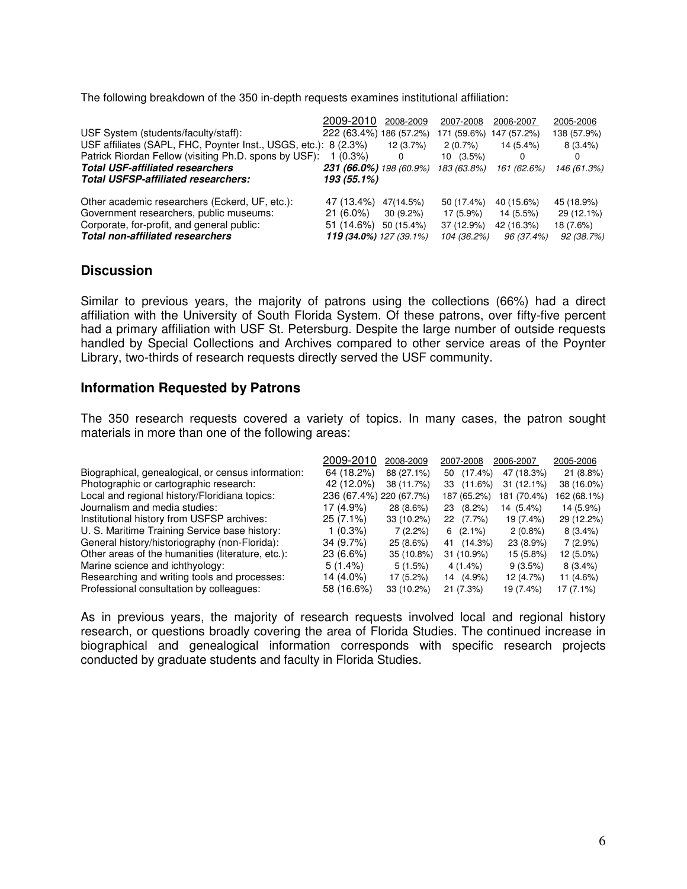The following breakdown of the 350 in-depth requests examines institutional affiliation:

|                                                                 | 2009-2010                      | 2008-2009   | 2007-2008   | 2006-2007   | 2005-2006   |
|-----------------------------------------------------------------|--------------------------------|-------------|-------------|-------------|-------------|
| USF System (students/faculty/staff):                            | 222 (63.4%) 186 (57.2%)        |             | 171 (59.6%) | 147 (57.2%) | 138 (57.9%) |
| USF affiliates (SAPL, FHC, Poynter Inst., USGS, etc.): 8 (2.3%) |                                | 12(3.7%)    | 2(0.7%)     | 14 (5.4%)   | $8(3.4\%)$  |
| Patrick Riordan Fellow (visiting Ph.D. spons by USF):           | $1(0.3\%)$                     | 0           | $10(3.5\%)$ | 0           | 0           |
| <b>Total USF-affiliated researchers</b>                         | 231 (66.0%) 198 (60.9%)        |             | 183 (63.8%) | 161 (62.6%) | 146 (61.3%) |
| <b>Total USFSP-affiliated researchers:</b>                      | 193 (55.1%)                    |             |             |             |             |
| Other academic researchers (Eckerd, UF, etc.):                  | 47 (13.4%)                     | 47(14.5%)   | 50 (17.4%)  | 40 (15.6%)  | 45 (18.9%)  |
| Government researchers, public museums:                         | $21(6.0\%)$                    | $30(9.2\%)$ | 17 (5.9%)   | 14 (5.5%)   | 29 (12.1%)  |
| Corporate, for-profit, and general public:                      | 51 (14.6%)                     | 50 (15.4%)  | 37 (12.9%)  | 42 (16.3%)  | 18 (7.6%)   |
| <b>Total non-affiliated researchers</b>                         | <b>119 (34.0%)</b> 127 (39.1%) |             | 104 (36.2%) | 96 (37.4%)  | 92 (38.7%)  |

#### **Discussion**

Similar to previous years, the majority of patrons using the collections (66%) had a direct affiliation with the University of South Florida System. Of these patrons, over fifty-five percent had a primary affiliation with USF St. Petersburg. Despite the large number of outside requests handled by Special Collections and Archives compared to other service areas of the Poynter Library, two-thirds of research requests directly served the USF community.

#### **Information Requested by Patrons**

The 350 research requests covered a variety of topics. In many cases, the patron sought materials in more than one of the following areas:

|                                                    | 2009-2010               | 2008-2009   | 2007-2008        | 2006-2007    | 2005-2006   |
|----------------------------------------------------|-------------------------|-------------|------------------|--------------|-------------|
| Biographical, genealogical, or census information: | 64 (18.2%)              | 88 (27.1%)  | $(17.4\%)$<br>50 | 47 (18.3%)   | 21(8.8%)    |
| Photographic or cartographic research:             | 42 (12.0%)              | 38 (11.7%)  | (11.6%)<br>33    | $31(12.1\%)$ | 38 (16.0%)  |
| Local and regional history/Floridiana topics:      | 236 (67.4%) 220 (67.7%) |             | 187 (65.2%)      | 181 (70.4%)  | 162 (68.1%) |
| Journalism and media studies:                      | 17 (4.9%)               | 28 (8.6%)   | $(8.2\%)$<br>23  | 14 (5.4%)    | 14 (5.9%)   |
| Institutional history from USFSP archives:         | $25(7.1\%)$             | 33 (10.2%)  | 22 (7.7%)        | 19 (7.4%)    | 29 (12.2%)  |
| U. S. Maritime Training Service base history:      | $1(0.3\%)$              | 7(2.2%)     | $6(2.1\%)$       | $2(0.8\%)$   | $8(3.4\%)$  |
| General history/historiography (non-Florida):      | $34(9.7\%)$             | $25(8.6\%)$ | 41 (14.3%)       | $23(8.9\%)$  | $7(2.9\%)$  |
| Other areas of the humanities (literature, etc.):  | $23(6.6\%)$             | 35 (10.8%)  | 31 (10.9%)       | 15 (5.8%)    | 12 (5.0%)   |
| Marine science and ichthyology:                    | 5(1.4%)                 | 5(1.5%)     | $4(1.4\%)$       | 9(3.5%)      | $8(3.4\%)$  |
| Researching and writing tools and processes:       | 14 (4.0%)               | $17(5.2\%)$ | 14 (4.9%)        | 12 (4.7%)    | 11 (4.6%)   |
| Professional consultation by colleagues:           | 58 (16.6%)              | 33 (10.2%)  | 21(7.3%)         | 19 (7.4%)    | 17 (7.1%)   |

As in previous years, the majority of research requests involved local and regional history research, or questions broadly covering the area of Florida Studies. The continued increase in biographical and genealogical information corresponds with specific research projects conducted by graduate students and faculty in Florida Studies.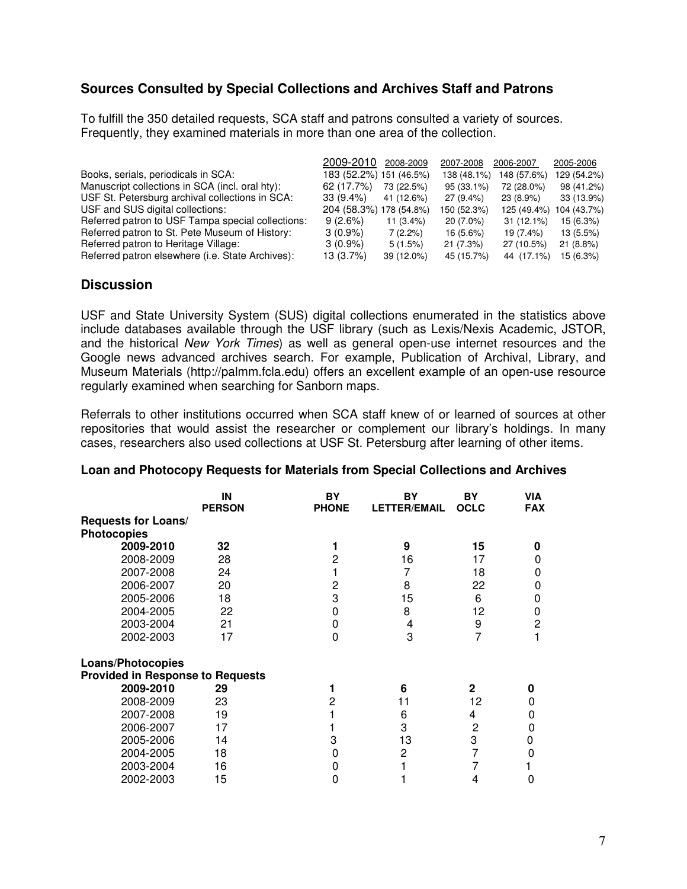#### **Sources Consulted by Special Collections and Archives Staff and Patrons**

To fulfill the 350 detailed requests, SCA staff and patrons consulted a variety of sources. Frequently, they examined materials in more than one area of the collection.

|                                                   | 2009-2010               | 2008-2009   | 2007-2008   | 2006-2007    | 2005-2006   |
|---------------------------------------------------|-------------------------|-------------|-------------|--------------|-------------|
| Books, serials, periodicals in SCA:               | 183 (52.2%) 151 (46.5%) |             | 138 (48.1%) | 148 (57.6%)  | 129 (54.2%) |
| Manuscript collections in SCA (incl. oral hty):   | 62 (17.7%)              | 73 (22.5%)  | 95 (33.1%)  | 72 (28.0%)   | 98 (41.2%)  |
| USF St. Petersburg archival collections in SCA:   | $33(9.4\%)$             | 41 (12.6%)  | 27 (9.4%)   | 23 (8.9%)    | 33 (13.9%)  |
| USF and SUS digital collections:                  | 204 (58.3%) 178 (54.8%) |             | 150 (52.3%) | 125 (49.4%)  | 104 (43.7%) |
| Referred patron to USF Tampa special collections: | 9(2.6%)                 | $11(3.4\%)$ | 20 (7.0%)   | $31(12.1\%)$ | 15(6.3%)    |
| Referred patron to St. Pete Museum of History:    | $3(0.9\%)$              | 7(2.2%)     | 16 (5.6%)   | 19 (7.4%)    | $13(5.5\%)$ |
| Referred patron to Heritage Village:              | $3(0.9\%)$              | 5(1.5%)     | 21(7.3%)    | 27 (10.5%)   | 21(8.8%)    |
| Referred patron elsewhere (i.e. State Archives):  | 13 (3.7%)               | 39 (12.0%)  | 45 (15.7%)  | 44 (17.1%)   | 15 (6.3%)   |

#### **Discussion**

USF and State University System (SUS) digital collections enumerated in the statistics above include databases available through the USF library (such as Lexis/Nexis Academic, JSTOR, and the historical New York Times) as well as general open-use internet resources and the Google news advanced archives search. For example, Publication of Archival, Library, and Museum Materials (http://palmm.fcla.edu) offers an excellent example of an open-use resource regularly examined when searching for Sanborn maps.

Referrals to other institutions occurred when SCA staff knew of or learned of sources at other repositories that would assist the researcher or complement our library's holdings. In many cases, researchers also used collections at USF St. Petersburg after learning of other items.

|                                         | IN<br><b>PERSON</b> | BY<br><b>PHONE</b> | BY<br><b>LETTER/EMAIL</b> | BY<br><b>OCLC</b> | <b>VIA</b><br><b>FAX</b> |
|-----------------------------------------|---------------------|--------------------|---------------------------|-------------------|--------------------------|
| Requests for Loans/                     |                     |                    |                           |                   |                          |
| <b>Photocopies</b>                      |                     |                    |                           |                   |                          |
| 2009-2010                               | 32                  |                    | 9                         | 15                | O                        |
| 2008-2009                               | 28                  | 2                  | 16                        | 17                | O                        |
| 2007-2008                               | 24                  |                    | 7                         | 18                | 0                        |
| 2006-2007                               | 20                  | 2                  | 8                         | 22                | 0                        |
| 2005-2006                               | 18                  | 3                  | 15                        | 6                 | 0                        |
| 2004-2005                               | 22                  | 0                  | 8                         | 12                |                          |
|                                         | 21                  | 0                  |                           |                   | O<br>2                   |
| 2003-2004                               |                     |                    | 4                         | 9                 |                          |
| 2002-2003                               | 17                  | $\Omega$           | 3                         | 7                 |                          |
|                                         |                     |                    |                           |                   |                          |
| <b>Loans/Photocopies</b>                |                     |                    |                           |                   |                          |
| <b>Provided in Response to Requests</b> |                     |                    |                           |                   |                          |
| 2009-2010                               | 29                  |                    | 6                         | $\mathbf{2}$      | 0                        |
| 2008-2009                               | 23                  | 2                  | 11                        | 12                | 0                        |
| 2007-2008                               | 19                  |                    | 6                         | 4                 | 0                        |
| 2006-2007                               | 17                  |                    | 3                         | $\overline{2}$    | 0                        |
| 2005-2006                               | 14                  | 3                  | 13                        | 3                 | 0                        |
| 2004-2005                               | 18                  | Ω                  | 2                         | 7                 | 0                        |
| 2003-2004                               | 16                  |                    |                           |                   |                          |
| 2002-2003                               | 15                  | Ω                  |                           | 4                 | 0                        |

#### **Loan and Photocopy Requests for Materials from Special Collections and Archives**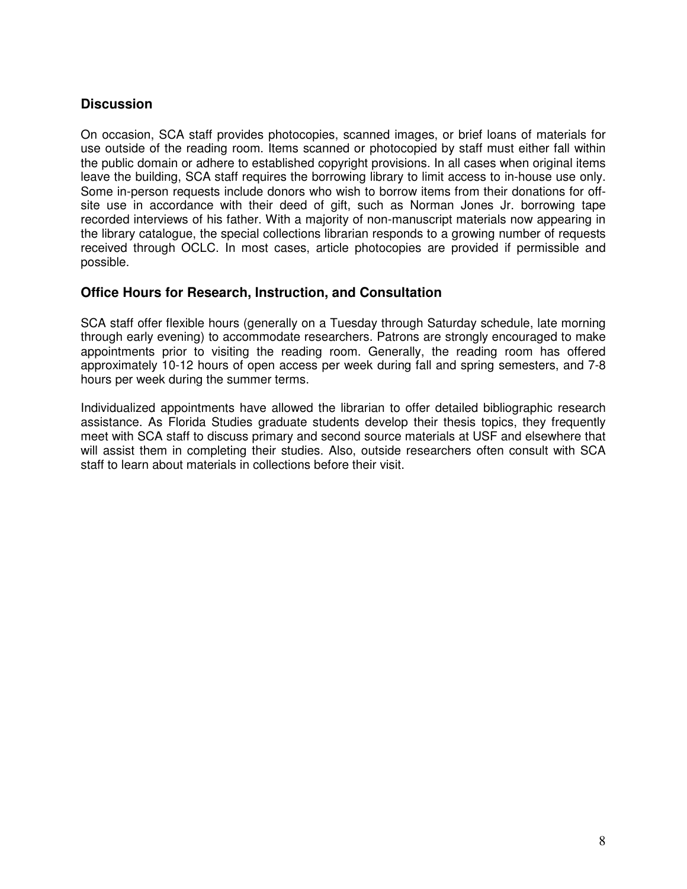#### **Discussion**

On occasion, SCA staff provides photocopies, scanned images, or brief loans of materials for use outside of the reading room. Items scanned or photocopied by staff must either fall within the public domain or adhere to established copyright provisions. In all cases when original items leave the building, SCA staff requires the borrowing library to limit access to in-house use only. Some in-person requests include donors who wish to borrow items from their donations for offsite use in accordance with their deed of gift, such as Norman Jones Jr. borrowing tape recorded interviews of his father. With a majority of non-manuscript materials now appearing in the library catalogue, the special collections librarian responds to a growing number of requests received through OCLC. In most cases, article photocopies are provided if permissible and possible.

#### **Office Hours for Research, Instruction, and Consultation**

SCA staff offer flexible hours (generally on a Tuesday through Saturday schedule, late morning through early evening) to accommodate researchers. Patrons are strongly encouraged to make appointments prior to visiting the reading room. Generally, the reading room has offered approximately 10-12 hours of open access per week during fall and spring semesters, and 7-8 hours per week during the summer terms.

Individualized appointments have allowed the librarian to offer detailed bibliographic research assistance. As Florida Studies graduate students develop their thesis topics, they frequently meet with SCA staff to discuss primary and second source materials at USF and elsewhere that will assist them in completing their studies. Also, outside researchers often consult with SCA staff to learn about materials in collections before their visit.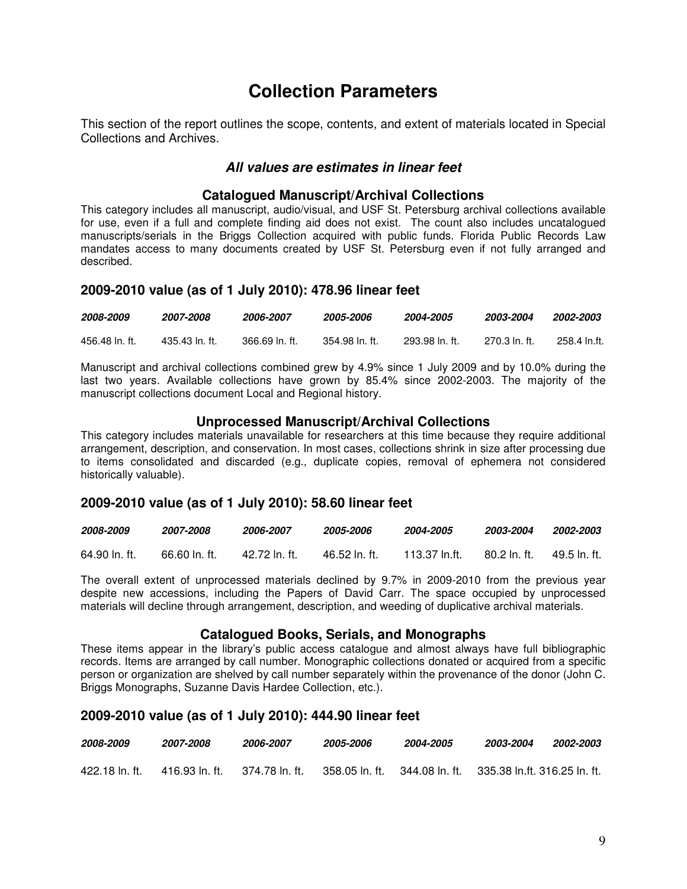## **Collection Parameters**

This section of the report outlines the scope, contents, and extent of materials located in Special Collections and Archives.

#### **All values are estimates in linear feet**

#### **Catalogued Manuscript/Archival Collections**

This category includes all manuscript, audio/visual, and USF St. Petersburg archival collections available for use, even if a full and complete finding aid does not exist. The count also includes uncatalogued manuscripts/serials in the Briggs Collection acquired with public funds. Florida Public Records Law mandates access to many documents created by USF St. Petersburg even if not fully arranged and described.

#### **2009-2010 value (as of 1 July 2010): 478.96 linear feet**

| 2008-2009      | 2007-2008      | 2006-2007      | 2005-2006      | 2004-2005      | 2003-2004     | 2002-2003    |
|----------------|----------------|----------------|----------------|----------------|---------------|--------------|
| 456.48 ln. ft. | 435.43 ln. ft. | 366.69 ln. ft. | 354.98 ln. ft. | 293.98 ln. ft. | 270.3 ln. ft. | 258.4 In.ft. |

Manuscript and archival collections combined grew by 4.9% since 1 July 2009 and by 10.0% during the last two years. Available collections have grown by 85.4% since 2002-2003. The majority of the manuscript collections document Local and Regional history.

#### **Unprocessed Manuscript/Archival Collections**

This category includes materials unavailable for researchers at this time because they require additional arrangement, description, and conservation. In most cases, collections shrink in size after processing due to items consolidated and discarded (e.g., duplicate copies, removal of ephemera not considered historically valuable).

#### **2009-2010 value (as of 1 July 2010): 58.60 linear feet**

| 2008-2009     | 2007-2008     | 2006-2007     | <i><b>2005-2006</b></i> | <i><b>2004-2005</b></i> | 2003-2004    | <i><b>2002-2003</b></i> |
|---------------|---------------|---------------|-------------------------|-------------------------|--------------|-------------------------|
| 64.90 ln. ft. | 66.60 ln. ft. | 42.72 ln. ft. | 46.52 ln. ft.           | 113.37 In.ft.           | 80.2 ln. ft. | 49.5 ln. ft.            |

The overall extent of unprocessed materials declined by 9.7% in 2009-2010 from the previous year despite new accessions, including the Papers of David Carr. The space occupied by unprocessed materials will decline through arrangement, description, and weeding of duplicative archival materials.

#### **Catalogued Books, Serials, and Monographs**

These items appear in the library's public access catalogue and almost always have full bibliographic records. Items are arranged by call number. Monographic collections donated or acquired from a specific person or organization are shelved by call number separately within the provenance of the donor (John C. Briggs Monographs, Suzanne Davis Hardee Collection, etc.).

#### **2009-2010 value (as of 1 July 2010): 444.90 linear feet**

| 2008-2009      | <i><b>2007-2008</b></i> | <i><b>2006-2007</b></i> | <i><b>2005-2006</b></i> | 2004-2005                                       | <i><b>2003-2004</b></i> | <i><b>2002-2003</b></i> |
|----------------|-------------------------|-------------------------|-------------------------|-------------------------------------------------|-------------------------|-------------------------|
| 422.18 ln. ft. | 416.93 In. ft.          | 374.78 ln. ft.          | 358.05 ln. ft.          | 344.08 ln. ft.     335.38 ln.ft. 316.25 ln. ft. |                         |                         |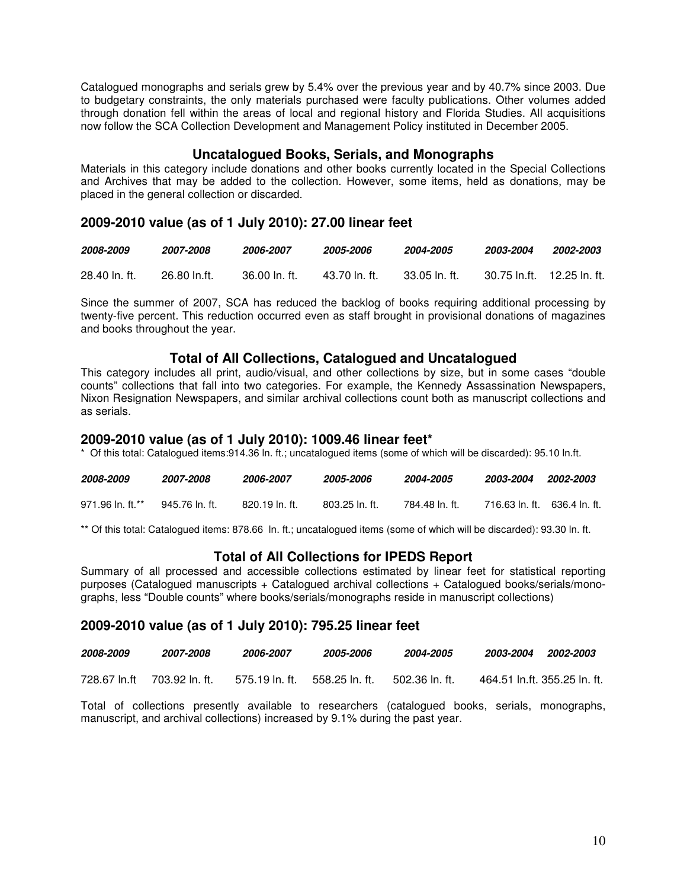Catalogued monographs and serials grew by 5.4% over the previous year and by 40.7% since 2003. Due to budgetary constraints, the only materials purchased were faculty publications. Other volumes added through donation fell within the areas of local and regional history and Florida Studies. All acquisitions now follow the SCA Collection Development and Management Policy instituted in December 2005.

#### **Uncatalogued Books, Serials, and Monographs**

Materials in this category include donations and other books currently located in the Special Collections and Archives that may be added to the collection. However, some items, held as donations, may be placed in the general collection or discarded.

#### **2009-2010 value (as of 1 July 2010): 27.00 linear feet**

| 2008-2009     | <i><b>2007-2008</b></i> | 2006-2007     | <i><b>2005-2006</b></i> | 2004-2005      | 2003-2004                   | 2002-2003 |
|---------------|-------------------------|---------------|-------------------------|----------------|-----------------------------|-----------|
| 28.40 ln. ft. | 26.80 ln.ft.            | 36.00 ln. ft. | 43.70 ln. ft.           | -33.05 In. ft. | 30.75 ln.ft.  12.25 ln. ft. |           |

Since the summer of 2007, SCA has reduced the backlog of books requiring additional processing by twenty-five percent. This reduction occurred even as staff brought in provisional donations of magazines and books throughout the year.

#### **Total of All Collections, Catalogued and Uncatalogued**

This category includes all print, audio/visual, and other collections by size, but in some cases "double counts" collections that fall into two categories. For example, the Kennedy Assassination Newspapers, Nixon Resignation Newspapers, and similar archival collections count both as manuscript collections and as serials.

#### **2009-2010 value (as of 1 July 2010): 1009.46 linear feet\***

\* Of this total: Catalogued items:914.36 ln. ft.; uncatalogued items (some of which will be discarded): 95.10 ln.ft.

| 2008-2009        | 2007-2008      | 2006-2007      | <i><b>2005-2006</b></i> | 2004-2005      | 2003-2004                    | 2002-2003 |
|------------------|----------------|----------------|-------------------------|----------------|------------------------------|-----------|
| 971.96 ln. ft.** | 945.76 ln. ft. | 820.19 ln. ft. | $803.25$ In. ft.        | 784.48 In. ft. | 716.63 ln. ft. 636.4 ln. ft. |           |

\*\* Of this total: Catalogued items: 878.66 ln. ft.; uncatalogued items (some of which will be discarded): 93.30 ln. ft.

#### **Total of All Collections for IPEDS Report**

Summary of all processed and accessible collections estimated by linear feet for statistical reporting purposes (Catalogued manuscripts + Catalogued archival collections + Catalogued books/serials/monographs, less "Double counts" where books/serials/monographs reside in manuscript collections)

#### **2009-2010 value (as of 1 July 2010): 795.25 linear feet**

| 2008-2009 | 2007-2008                   | 2006-2007      | 2005-2006       | 2004-2005        | <i><b>2003-2004</b></i><br>2002-2003 |
|-----------|-----------------------------|----------------|-----------------|------------------|--------------------------------------|
|           | 728.67 In.ft 703.92 In. ft. | 575.19 ln. ft. | .558.25 ln. ft. | . 502.36 ln. ft. | 464.51 ln.ft. 355.25 ln. ft.         |

Total of collections presently available to researchers (catalogued books, serials, monographs, manuscript, and archival collections) increased by 9.1% during the past year.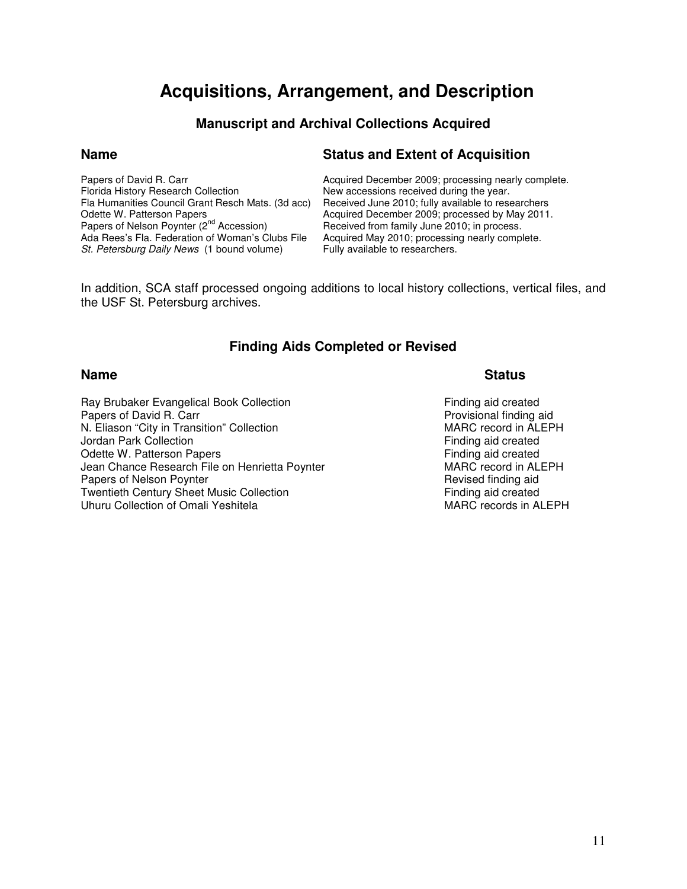## **Acquisitions, Arrangement, and Description**

### **Manuscript and Archival Collections Acquired**

Fla Humanities Council Grant Resch Mats. (3d acc)<br>Odette W. Patterson Papers Odette W. Patterson Papers **Acquired December 2009; processed by May 2011.**<br>Papers of Nelson Poynter (2<sup>nd</sup> Accession) **Received from family June 2010; in process**. Papers of Nelson Poynter (2<sup>nd</sup> Accession) Received from family June 2010; in process.<br>Ada Rees's Fla. Federation of Woman's Clubs File Acquired May 2010; processing nearly comp St. Petersburg Daily News (1 bound volume)

#### **Name** Status and Extent of Acquisition

Papers of David R. Carr **Acquired December 2009; processing nearly complete.**<br>
Florida History Research Collection **Actuary New accessions received during the year**. New accessions received during the year.<br>Received June 2010; fully available to researchers Acquired May 2010; processing nearly complete.<br>Fully available to researchers.

In addition, SCA staff processed ongoing additions to local history collections, vertical files, and the USF St. Petersburg archives.

### **Finding Aids Completed or Revised**

Ray Brubaker Evangelical Book Collection<br>
Papers of David R. Carr<br>
Papers of David R. Carr Papers of David R. Carr **Provisional finding aid**<br>
N. Eliason "City in Transition" Collection **Provisional State of August** MARC record in ALEPH N. Eliason "City in Transition" Collection Manuel Collection MARC record in ALI<br>
Jordan Park Collection Material Collection Collection Manuel Collection Collection Jordan Park Collection Odette W. Patterson Papers **Finding aid created** Finding aid created Jean Chance Research File on Henrietta Poynter<br>
Papers of Nelson Poynter<br>
Papers of Nelson Poynter Papers of Nelson Poynter Twentieth Century Sheet Music Collection Finding aid created Uhuru Collection of Omali Yeshitela MARC records in ALEPH

#### **Name** Status **Name**